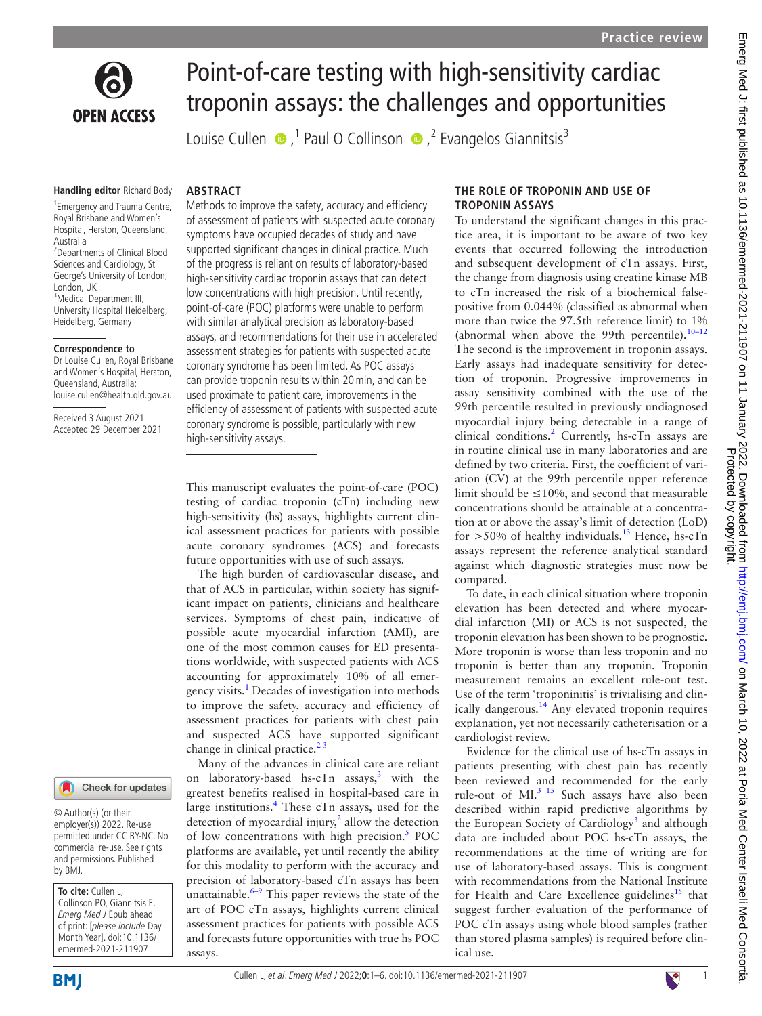

# Point-of-care testing with high-sensitivity cardiac troponin assays: the challenges and opportunities

LouiseCullen  $\bullet$ ,<sup>1</sup> Paul O Collinson  $\bullet$ ,<sup>2</sup> Evangelos Giannitsis<sup>3</sup>

Methods to improve the safety, accuracy and efficiency of assessment of patients with suspected acute coronary symptoms have occupied decades of study and have supported significant changes in clinical practice. Much of the progress is reliant on results of laboratory-based high-sensitivity cardiac troponin assays that can detect low concentrations with high precision. Until recently, point-of-care (POC) platforms were unable to perform with similar analytical precision as laboratory-based assays, and recommendations for their use in accelerated assessment strategies for patients with suspected acute coronary syndrome has been limited. As POC assays can provide troponin results within 20min, and can be used proximate to patient care, improvements in the efficiency of assessment of patients with suspected acute coronary syndrome is possible, particularly with new

This manuscript evaluates the point-of-care (POC) testing of cardiac troponin (cTn) including new high-sensitivity (hs) assays, highlights current clinical assessment practices for patients with possible acute coronary syndromes (ACS) and forecasts future opportunities with use of such assays.

The high burden of cardiovascular disease, and that of ACS in particular, within society has significant impact on patients, clinicians and healthcare services. Symptoms of chest pain, indicative of possible acute myocardial infarction (AMI), are one of the most common causes for ED presentations worldwide, with suspected patients with ACS accounting for approximately 10% of all emergency visits.<sup>1</sup> Decades of investigation into methods to improve the safety, accuracy and efficiency of assessment practices for patients with chest pain and suspected ACS have supported significant

Many of the advances in clinical care are reliant on laboratory-based hs-cTn assays, $3$  with the greatest benefits realised in hospital-based care in large institutions.<sup>[4](#page-4-3)</sup> These cTn assays, used for the detection of myocardial injury, $\lambda$  allow the detection of low concentrations with high precision.<sup>[5](#page-4-4)</sup> POC platforms are available, yet until recently the ability for this modality to perform with the accuracy and precision of laboratory-based cTn assays has been unattainable. $6-9$  This paper reviews the state of the art of POC cTn assays, highlights current clinical assessment practices for patients with possible ACS and forecasts future opportunities with true hs POC

#### **Handling editor** Richard Body

**ARSTRACT** 

high-sensitivity assays.

change in clinical practice.<sup>23</sup>

assays.

1 Emergency and Trauma Centre, Royal Brisbane and Women's Hospital, Herston, Queensland, Australia 2 Departments of Clinical Blood Sciences and Cardiology, St George's University of London, London, UK <sup>3</sup>Medical Department III, University Hospital Heidelberg, Heidelberg, Germany

#### **Correspondence to**

Dr Louise Cullen, Royal Brisbane and Women's Hospital, Herston, Queensland, Australia; louise.cullen@health.qld.gov.au

Received 3 August 2021 Accepted 29 December 2021

#### Check for updates

© Author(s) (or their employer(s)) 2022. Re-use permitted under CC BY-NC. No commercial re-use. See rights and permissions. Published by BMJ.

**To cite:** Cullen L, Collinson PO, Giannitsis E. Emerg Med J Epub ahead of print: [please include Day Month Year]. doi:10.1136/ emermed-2021-211907

**BMI** 

# Cullen L, et al. Emerg Med J 2022;**0**:1–6. doi:10.1136/emermed-2021-2119071



**THE ROLE OF TROPONIN AND USE OF TROPONIN ASSAYS**

To understand the significant changes in this practice area, it is important to be aware of two key events that occurred following the introduction and subsequent development of cTn assays. First, the change from diagnosis using creatine kinase MB to cTn increased the risk of a biochemical falsepositive from 0.044% (classified as abnormal when more than twice the 97.5th reference limit) to 1% (abnormal when above the 99th percentile). $10-12$ The second is the improvement in troponin assays. Early assays had inadequate sensitivity for detection of troponin. Progressive improvements in assay sensitivity combined with the use of the 99th percentile resulted in previously undiagnosed myocardial injury being detectable in a range of clinical conditions.<sup>[2](#page-4-1)</sup> Currently, hs-cTn assays are in routine clinical use in many laboratories and are defined by two criteria. First, the coefficient of variation (CV) at the 99th percentile upper reference limit should be  $\leq 10\%$ , and second that measurable concentrations should be attainable at a concentration at or above the assay's limit of detection (LoD) for  $>50\%$  of healthy individuals.<sup>13</sup> Hence, hs-cTn assays represent the reference analytical standard against which diagnostic strategies must now be compared.

To date, in each clinical situation where troponin elevation has been detected and where myocardial infarction (MI) or ACS is not suspected, the troponin elevation has been shown to be prognostic. More troponin is worse than less troponin and no troponin is better than any troponin. Troponin measurement remains an excellent rule-out test. Use of the term 'troponinitis' is trivialising and clinically dangerous.<sup>14</sup> Any elevated troponin requires explanation, yet not necessarily catheterisation or a cardiologist review.

Evidence for the clinical use of hs-cTn assays in patients presenting with chest pain has recently been reviewed and recommended for the early rule-out of MI.<sup>3 15</sup> Such assays have also been described within rapid predictive algorithms by the European Society of Cardiology<sup>[3](#page-4-2)</sup> and although data are included about POC hs-cTn assays, the recommendations at the time of writing are for use of laboratory-based assays. This is congruent with recommendations from the National Institute for Health and Care Excellence guidelines<sup>15</sup> that suggest further evaluation of the performance of POC cTn assays using whole blood samples (rather than stored plasma samples) is required before clinical use.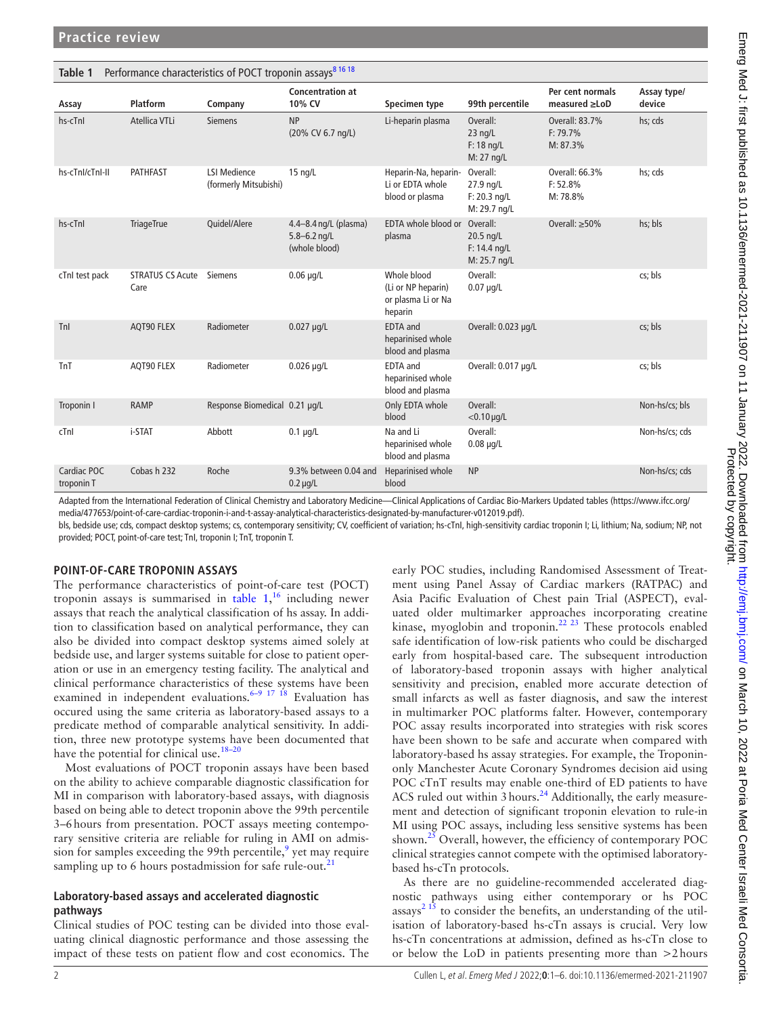<span id="page-1-0"></span>

| Performance characteristics of POCT troponin assays <sup>81618</sup><br>Table 1 |                                 |                                              |                                                            |                                                                    |                                                         |                                        |                       |  |
|---------------------------------------------------------------------------------|---------------------------------|----------------------------------------------|------------------------------------------------------------|--------------------------------------------------------------------|---------------------------------------------------------|----------------------------------------|-----------------------|--|
| Assay                                                                           | Platform                        | Company                                      | <b>Concentration at</b><br>10% CV                          | Specimen type                                                      | 99th percentile                                         | Per cent normals<br>$measured \ge$ LoD | Assay type/<br>device |  |
| hs-cTnI                                                                         | Atellica VTLi                   | <b>Siemens</b>                               | <b>NP</b><br>(20% CV 6.7 ng/L)                             | Li-heparin plasma                                                  | Overall:<br>$23$ ng/L<br>$F: 18$ ng/L<br>M: 27 ng/L     | Overall: 83.7%<br>F: 79.7%<br>M: 87.3% | hs; cds               |  |
| hs-cTnl/cTnl-II                                                                 | <b>PATHFAST</b>                 | <b>LSI Medience</b><br>(formerly Mitsubishi) | $15$ ng/L                                                  | Heparin-Na, heparin-<br>Li or EDTA whole<br>blood or plasma        | Overall:<br>27.9 ng/L<br>$F: 20.3$ ng/L<br>M: 29.7 ng/L | Overall: 66.3%<br>F: 52.8%<br>M: 78.8% | hs; cds               |  |
| hs-cTnI                                                                         | <b>TriageTrue</b>               | Quidel/Alere                                 | 4.4-8.4 ng/L (plasma)<br>$5.8 - 6.2$ ng/L<br>(whole blood) | EDTA whole blood or<br>plasma                                      | Overall:<br>20.5 ng/L<br>F: 14.4 ng/L<br>M: 25.7 ng/L   | Overall: $\geq 50\%$                   | hs; bls               |  |
| cTnI test pack                                                                  | <b>STRATUS CS Acute</b><br>Care | <b>Siemens</b>                               | $0.06$ µg/L                                                | Whole blood<br>(Li or NP heparin)<br>or plasma Li or Na<br>heparin | Overall:<br>$0.07 \mu q/L$                              |                                        | cs; bls               |  |
| Tnl                                                                             | AQT90 FLEX                      | Radiometer                                   | $0.027 \mu q/L$                                            | EDTA and<br>heparinised whole<br>blood and plasma                  | Overall: 0.023 µg/L                                     |                                        | cs; bls               |  |
| TnT                                                                             | AQT90 FLEX                      | Radiometer                                   | $0.026 \mu q/L$                                            | <b>EDTA</b> and<br>heparinised whole<br>blood and plasma           | Overall: 0.017 µg/L                                     |                                        | cs; bls               |  |
| Troponin I                                                                      | <b>RAMP</b>                     | Response Biomedical 0.21 µg/L                |                                                            | Only EDTA whole<br>blood                                           | Overall:<br>$<$ 0.10 $\mu$ g/L                          |                                        | Non-hs/cs; bls        |  |
| cTnl                                                                            | i-STAT                          | Abbott                                       | $0.1 \mu q/L$                                              | Na and Li<br>heparinised whole<br>blood and plasma                 | Overall:<br>$0.08 \mu g/L$                              |                                        | Non-hs/cs; cds        |  |
| Cardiac POC<br>troponin T                                                       | Cobas h 232                     | Roche                                        | 9.3% between 0.04 and<br>$0.2 \mu g/L$                     | Heparinised whole<br>blood                                         | <b>NP</b>                                               |                                        | Non-hs/cs; cds        |  |

Adapted from the International Federation of Clinical Chemistry and Laboratory Medicine—Clinical Applications of Cardiac Bio-Markers Updated tables [\(https://www.ifcc.org/](https://www.ifcc.org/media/477653/point-of-care-cardiac-troponin-i-and-t-assay-analytical-characteristics-designated-by-manufacturer-v012019.pdf) [media/477653/point-of-care-cardiac-troponin-i-and-t-assay-analytical-characteristics-designated-by-manufacturer-v012019.pdf](https://www.ifcc.org/media/477653/point-of-care-cardiac-troponin-i-and-t-assay-analytical-characteristics-designated-by-manufacturer-v012019.pdf)).

bls, bedside use; cds, compact desktop systems; cs, contemporary sensitivity; CV, coefficient of variation; hs-cTnI, high-sensitivity cardiac troponin I; Li, lithium; Na, sodium; NP, not provided; POCT, point-of-care test; TnI, troponin I; TnT, troponin T.

## **POINT-OF-CARE TROPONIN ASSAYS**

The performance characteristics of point-of-care test (POCT) troponin assays is summarised in [table](#page-1-0)  $1,16$  $1,16$  including newer assays that reach the analytical classification of hs assay. In addition to classification based on analytical performance, they can also be divided into compact desktop systems aimed solely at bedside use, and larger systems suitable for close to patient operation or use in an emergency testing facility. The analytical and clinical performance characteristics of these systems have been examined in independent evaluations.<sup>6–9 17 18</sup> Evaluation has occured using the same criteria as laboratory-based assays to a predicate method of comparable analytical sensitivity. In addition, three new prototype systems have been documented that have the potential for clinical use. $18-20$ 

Most evaluations of POCT troponin assays have been based on the ability to achieve comparable diagnostic classification for MI in comparison with laboratory-based assays, with diagnosis based on being able to detect troponin above the 99th percentile 3–6hours from presentation. POCT assays meeting contemporary sensitive criteria are reliable for ruling in AMI on admis-sion for samples exceeding the [9](#page-4-12)9th percentile,  $9$  yet may require sampling up to 6 hours postadmission for safe rule-out. $^{21}$ 

#### **Laboratory-based assays and accelerated diagnostic pathways**

Clinical studies of POC testing can be divided into those evaluating clinical diagnostic performance and those assessing the impact of these tests on patient flow and cost economics. The early POC studies, including Randomised Assessment of Treatment using Panel Assay of Cardiac markers (RATPAC) and Asia Pacific Evaluation of Chest pain Trial (ASPECT), evaluated older multimarker approaches incorporating creatine kinase, myoglobin and troponin.<sup>22 23</sup> These protocols enabled safe identification of low-risk patients who could be discharged early from hospital-based care. The subsequent introduction of laboratory-based troponin assays with higher analytical sensitivity and precision, enabled more accurate detection of small infarcts as well as faster diagnosis, and saw the interest in multimarker POC platforms falter. However, contemporary POC assay results incorporated into strategies with risk scores have been shown to be safe and accurate when compared with laboratory-based hs assay strategies. For example, the Troponinonly Manchester Acute Coronary Syndromes decision aid using POC cTnT results may enable one-third of ED patients to have ACS ruled out within 3 hours.<sup>24</sup> Additionally, the early measurement and detection of significant troponin elevation to rule-in MI using POC assays, including less sensitive systems has been shown.<sup>25</sup> Overall, however, the efficiency of contemporary POC clinical strategies cannot compete with the optimised laboratorybased hs-cTn protocols.

As there are no guideline-recommended accelerated diagnostic pathways using either contemporary or hs POC  $assays<sup>2 15</sup>$  $assays<sup>2 15</sup>$  $assays<sup>2 15</sup>$  to consider the benefits, an understanding of the utilisation of laboratory-based hs-cTn assays is crucial. Very low hs-cTn concentrations at admission, defined as hs-cTn close to or below the LoD in patients presenting more than >2hours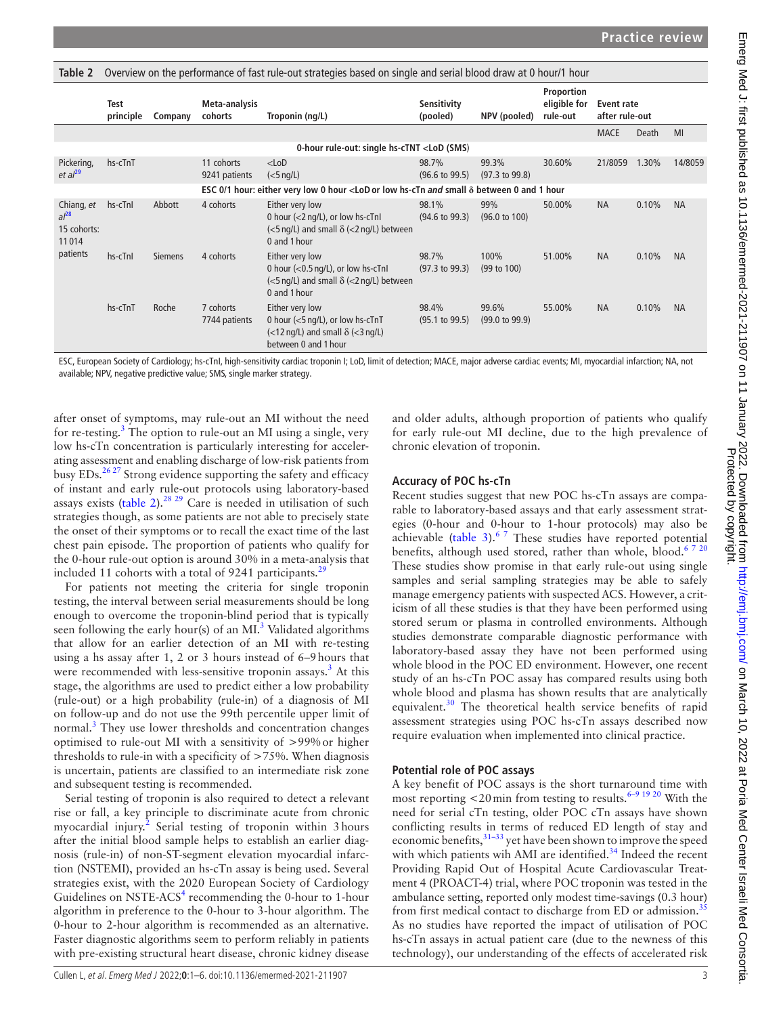<span id="page-2-0"></span>

| Table 2                                                     | Overview on the performance of fast rule-out strategies based on single and serial blood draw at 0 hour/1 hour |                |                             |                                                                                                                                                                                                            |                                    |                                    |                                        |                              |              |           |
|-------------------------------------------------------------|----------------------------------------------------------------------------------------------------------------|----------------|-----------------------------|------------------------------------------------------------------------------------------------------------------------------------------------------------------------------------------------------------|------------------------------------|------------------------------------|----------------------------------------|------------------------------|--------------|-----------|
|                                                             | <b>Test</b><br>principle                                                                                       | Company        | Meta-analysis<br>cohorts    | Troponin (ng/L)                                                                                                                                                                                            | Sensitivity<br>(pooled)            | NPV (pooled)                       | Proportion<br>eligible for<br>rule-out | Event rate<br>after rule-out |              |           |
|                                                             |                                                                                                                |                |                             |                                                                                                                                                                                                            |                                    |                                    |                                        | <b>MACE</b>                  | <b>Death</b> | MI        |
|                                                             |                                                                                                                |                |                             | 0-hour rule-out: single hs-cTNT <lod (sms)<="" td=""><td></td><td></td><td></td><td></td><td></td><td></td></lod>                                                                                          |                                    |                                    |                                        |                              |              |           |
| Pickering,<br>et al <sup>29</sup>                           | hs-cTnT                                                                                                        |                | 11 cohorts<br>9241 patients | $<$ LoD<br>$(5$ ng/L)                                                                                                                                                                                      | 98.7%<br>$(96.6 \text{ to } 99.5)$ | 99.3%<br>$(97.3 \text{ to } 99.8)$ | 30.60%                                 | 21/8059                      | 1.30%        | 14/8059   |
|                                                             |                                                                                                                |                |                             | ESC 0/1 hour: either very low 0 hour <lod <math="" and="" hs-ctn="" low="" or="" small="">\delta between 0 and 1 hour</lod>                                                                                |                                    |                                    |                                        |                              |              |           |
| Chiang, et<br>$al^{28}$<br>15 cohorts:<br>11014<br>patients | hs-cTnI                                                                                                        | Abbott         | 4 cohorts                   | Either very low<br>0 hour (<2 ng/L), or low hs-cTnI<br>$\left\langle \langle 5 \rangle \right\rangle$ and small $\delta \left\langle \langle 2 \rangle \right\rangle$ between<br>0 and 1 hour              | 98.1%<br>$(94.6 \text{ to } 99.3)$ | 99%<br>$(96.0 \text{ to } 100)$    | 50.00%                                 | <b>NA</b>                    | 0.10%        | <b>NA</b> |
|                                                             | hs-cTnI                                                                                                        | <b>Siemens</b> | 4 cohorts                   | Either very low<br>0 hour $(<0.5 \text{ ng/L})$ , or low hs-cTnI<br>$\left\langle \langle 5 \rangle \right\rangle$ and small $\delta \left\langle \langle 2 \rangle \right\rangle$ between<br>0 and 1 hour | 98.7%<br>$(97.3 \text{ to } 99.3)$ | 100%<br>$(99 \text{ to } 100)$     | 51.00%                                 | <b>NA</b>                    | 0.10%        | <b>NA</b> |
|                                                             | hs-cTnT                                                                                                        | Roche          | 7 cohorts<br>7744 patients  | Either very low<br>0 hour $(<5$ ng/L), or low hs-cTnT<br>$\left\langle \langle 12 \rangle \right\rangle$ and small $\delta \left\langle \langle 3 \rangle \right\rangle$<br>between 0 and 1 hour           | 98.4%<br>$(95.1 \text{ to } 99.5)$ | 99.6%<br>$(99.0 \text{ to } 99.9)$ | 55.00%                                 | <b>NA</b>                    | 0.10%        | <b>NA</b> |

ESC, European Society of Cardiology; hs-cTnI, high-sensitivity cardiac troponin I; LoD, limit of detection; MACE, major adverse cardiac events; MI, myocardial infarction; NA, not available; NPV, negative predictive value; SMS, single marker strategy.

after onset of symptoms, may rule-out an MI without the need for re-testing.<sup>[3](#page-4-2)</sup> The option to rule-out an MI using a single, very low hs-cTn concentration is particularly interesting for accelerating assessment and enabling discharge of low-risk patients from busy EDs.<sup>26 27</sup> Strong evidence supporting the safety and efficacy of instant and early rule-out protocols using laboratory-based assays exists [\(table](#page-2-0) 2).<sup>28, 29</sup> Care is needed in utilisation of such strategies though, as some patients are not able to precisely state the onset of their symptoms or to recall the exact time of the last chest pain episode. The proportion of patients who qualify for the 0-hour rule-out option is around 30% in a meta-analysis that included 11 cohorts with a total of 9241 participants. $^{29}$  $^{29}$  $^{29}$ 

For patients not meeting the criteria for single troponin testing, the interval between serial measurements should be long enough to overcome the troponin-blind period that is typically seen following the early hour(s) of an  $MI<sup>3</sup>$  Validated algorithms that allow for an earlier detection of an MI with re-testing using a hs assay after 1, 2 or 3 hours instead of 6–9hours that were recommended with less-sensitive troponin assays.<sup>[3](#page-4-2)</sup> At this stage, the algorithms are used to predict either a low probability (rule-out) or a high probability (rule-in) of a diagnosis of MI on follow-up and do not use the 99th percentile upper limit of normal.<sup>3</sup> They use lower thresholds and concentration changes optimised to rule-out MI with a sensitivity of >99%or higher thresholds to rule-in with a specificity of >75%. When diagnosis is uncertain, patients are classified to an intermediate risk zone and subsequent testing is recommended.

Serial testing of troponin is also required to detect a relevant rise or fall, a key principle to discriminate acute from chronic myocardial injury.<sup>[2](#page-4-1)</sup> Serial testing of troponin within 3 hours after the initial blood sample helps to establish an earlier diagnosis (rule-in) of non-ST-segment elevation myocardial infarction (NSTEMI), provided an hs-cTn assay is being used. Several strategies exist, with the 2020 European Society of Cardiology Guidelines on NSTE-ACS<sup>[4](#page-4-3)</sup> recommending the 0-hour to 1-hour algorithm in preference to the 0-hour to 3-hour algorithm. The 0-hour to 2-hour algorithm is recommended as an alternative. Faster diagnostic algorithms seem to perform reliably in patients with pre-existing structural heart disease, chronic kidney disease

and older adults, although proportion of patients who qualify for early rule-out MI decline, due to the high prevalence of chronic elevation of troponin.

## **Accuracy of POC hs-cTn**

Recent studies suggest that new POC hs-cTn assays are comparable to laboratory-based assays and that early assessment strategies (0-hour and 0-hour to 1-hour protocols) may also be achievable ([table](#page-3-0) 3). $67$  These studies have reported potential benefits, although used stored, rather than whole, blood.<sup>[6 7 20](#page-4-5)</sup> These studies show promise in that early rule-out using single samples and serial sampling strategies may be able to safely manage emergency patients with suspected ACS. However, a criticism of all these studies is that they have been performed using stored serum or plasma in controlled environments. Although studies demonstrate comparable diagnostic performance with laboratory-based assay they have not been performed using whole blood in the POC ED environment. However, one recent study of an hs-cTn POC assay has compared results using both whole blood and plasma has shown results that are analytically equivalent.<sup>30</sup> The theoretical health service benefits of rapid assessment strategies using POC hs-cTn assays described now require evaluation when implemented into clinical practice.

## **Potential role of POC assays**

A key benefit of POC assays is the short turnaround time with most reporting  $<$  20 min from testing to results.<sup>6–9 19 20</sup> With the need for serial cTn testing, older POC cTn assays have shown conflicting results in terms of reduced ED length of stay and economic benefits,  $31-33$  yet have been shown to improve the speed with which patients wih AMI are identified.<sup>34</sup> Indeed the recent Providing Rapid Out of Hospital Acute Cardiovascular Treatment 4 (PROACT-4) trial, where POC troponin was tested in the ambulance setting, reported only modest time-savings (0.3 hour) from first medical contact to discharge from ED or admission.<sup>[35](#page-4-24)</sup> As no studies have reported the impact of utilisation of POC hs-cTn assays in actual patient care (due to the newness of this technology), our understanding of the effects of accelerated risk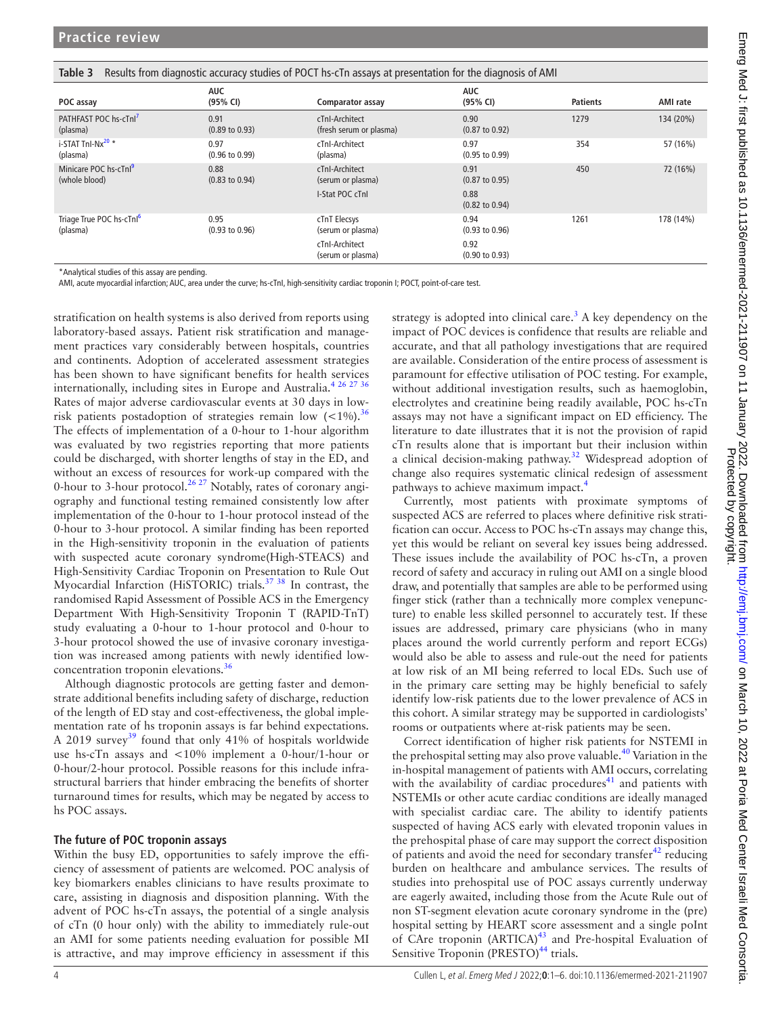<span id="page-3-0"></span>

| Table 3<br>Results from diagnostic accuracy studies of POCT hs-cTn assays at presentation for the diagnosis of AMI |                                   |                                           |                                   |                 |           |  |  |
|--------------------------------------------------------------------------------------------------------------------|-----------------------------------|-------------------------------------------|-----------------------------------|-----------------|-----------|--|--|
| POC assay                                                                                                          | <b>AUC</b><br>(95% CI)            | Comparator assay                          | <b>AUC</b><br>(95% CI)            | <b>Patients</b> | AMI rate  |  |  |
| PATHFAST POC hs-cTnl <sup>7</sup><br>(plasma)                                                                      | 0.91<br>$(0.89 \text{ to } 0.93)$ | cTnI-Architect<br>(fresh serum or plasma) | 0.90<br>$(0.87 \text{ to } 0.92)$ | 1279            | 134 (20%) |  |  |
| i-STAT Tnl-Nx <sup>20</sup> *<br>(plasma)                                                                          | 0.97<br>$(0.96 \text{ to } 0.99)$ | cTnI-Architect<br>(plasma)                | 0.97<br>$(0.95 \text{ to } 0.99)$ | 354             | 57 (16%)  |  |  |
| Minicare POC hs-cTnl <sup>9</sup><br>(whole blood)                                                                 | 0.88<br>$(0.83 \text{ to } 0.94)$ | cTnI-Architect<br>(serum or plasma)       | 0.91<br>$(0.87 \text{ to } 0.95)$ | 450             | 72 (16%)  |  |  |
|                                                                                                                    |                                   | I-Stat POC cTnl                           | 0.88<br>$(0.82 \text{ to } 0.94)$ |                 |           |  |  |
| Triage True POC hs-cTnl <sup>6</sup><br>(plasma)                                                                   | 0.95<br>$(0.93 \text{ to } 0.96)$ | cTnT Elecsys<br>(serum or plasma)         | 0.94<br>$(0.93 \text{ to } 0.96)$ | 1261            | 178 (14%) |  |  |
|                                                                                                                    |                                   | cTnI-Architect<br>(serum or plasma)       | 0.92<br>$(0.90 \text{ to } 0.93)$ |                 |           |  |  |

\*Analytical studies of this assay are pending.

AMI, acute myocardial infarction; AUC, area under the curve; hs-cTnI, high-sensitivity cardiac troponin I; POCT, point-of-care test.

stratification on health systems is also derived from reports using laboratory-based assays. Patient risk stratification and management practices vary considerably between hospitals, countries and continents. Adoption of accelerated assessment strategies has been shown to have significant benefits for health services internationally, including sites in Europe and Australia.<sup>[4 26 27 36](#page-4-3)</sup> Rates of major adverse cardiovascular events at 30 days in lowrisk patients postadoption of strategies remain low  $(<1\%)$ .<sup>[36](#page-4-25)</sup> The effects of implementation of a 0-hour to 1-hour algorithm was evaluated by two registries reporting that more patients could be discharged, with shorter lengths of stay in the ED, and without an excess of resources for work-up compared with the 0-hour to 3-hour protocol.<sup>26 27</sup> Notably, rates of coronary angiography and functional testing remained consistently low after implementation of the 0-hour to 1-hour protocol instead of the 0-hour to 3-hour protocol. A similar finding has been reported in the High-sensitivity troponin in the evaluation of patients with suspected acute coronary syndrome(High-STEACS) and High-Sensitivity Cardiac Troponin on Presentation to Rule Out Myocardial Infarction (HiSTORIC) trials.<sup>37</sup> 38</sup> In contrast, the randomised Rapid Assessment of Possible ACS in the Emergency Department With High-Sensitivity Troponin T (RAPID-TnT) study evaluating a 0-hour to 1-hour protocol and 0-hour to 3-hour protocol showed the use of invasive coronary investigation was increased among patients with newly identified lowconcentration troponin elevations.<sup>36</sup>

Although diagnostic protocols are getting faster and demonstrate additional benefits including safety of discharge, reduction of the length of ED stay and cost-effectiveness, the global implementation rate of hs troponin assays is far behind expectations. A 2019 survey<sup>39</sup> found that only 41% of hospitals worldwide use hs-cTn assays and <10% implement a 0-hour/1-hour or 0-hour/2-hour protocol. Possible reasons for this include infrastructural barriers that hinder embracing the benefits of shorter turnaround times for results, which may be negated by access to hs POC assays.

#### **The future of POC troponin assays**

Within the busy ED, opportunities to safely improve the efficiency of assessment of patients are welcomed. POC analysis of key biomarkers enables clinicians to have results proximate to care, assisting in diagnosis and disposition planning. With the advent of POC hs-cTn assays, the potential of a single analysis of cTn (0 hour only) with the ability to immediately rule-out an AMI for some patients needing evaluation for possible MI is attractive, and may improve efficiency in assessment if this

strategy is adopted into clinical care.<sup>[3](#page-4-2)</sup> A key dependency on the impact of POC devices is confidence that results are reliable and accurate, and that all pathology investigations that are required are available. Consideration of the entire process of assessment is paramount for effective utilisation of POC testing. For example, without additional investigation results, such as haemoglobin, electrolytes and creatinine being readily available, POC hs-cTn assays may not have a significant impact on ED efficiency. The literature to date illustrates that it is not the provision of rapid cTn results alone that is important but their inclusion within a clinical decision-making pathway.<sup>[32](#page-4-26)</sup> Widespread adoption of change also requires systematic clinical redesign of assessment pathways to achieve maximum impact.[4](#page-4-3)

Currently, most patients with proximate symptoms of suspected ACS are referred to places where definitive risk stratification can occur. Access to POC hs-cTn assays may change this, yet this would be reliant on several key issues being addressed. These issues include the availability of POC hs-cTn, a proven record of safety and accuracy in ruling out AMI on a single blood draw, and potentially that samples are able to be performed using finger stick (rather than a technically more complex venepuncture) to enable less skilled personnel to accurately test. If these issues are addressed, primary care physicians (who in many places around the world currently perform and report ECGs) would also be able to assess and rule-out the need for patients at low risk of an MI being referred to local EDs. Such use of in the primary care setting may be highly beneficial to safely identify low-risk patients due to the lower prevalence of ACS in this cohort. A similar strategy may be supported in cardiologists' rooms or outpatients where at-risk patients may be seen.

Correct identification of higher risk patients for NSTEMI in the prehospital setting may also prove valuable.<sup>40</sup> Variation in the in-hospital management of patients with AMI occurs, correlating with the availability of cardiac procedures $41$  and patients with NSTEMIs or other acute cardiac conditions are ideally managed with specialist cardiac care. The ability to identify patients suspected of having ACS early with elevated troponin values in the prehospital phase of care may support the correct disposition of patients and avoid the need for secondary transfer $42$  reducing burden on healthcare and ambulance services. The results of studies into prehospital use of POC assays currently underway are eagerly awaited, including those from the Acute Rule out of non ST-segment elevation acute coronary syndrome in the (pre) hospital setting by HEART score assessment and a single poInt of CAre troponin  $(ARTICA)^{43}$  $(ARTICA)^{43}$  $(ARTICA)^{43}$  and Pre-hospital Evaluation of Sensitive Troponin (PRESTO)<sup>[44](#page-5-6)</sup> trials.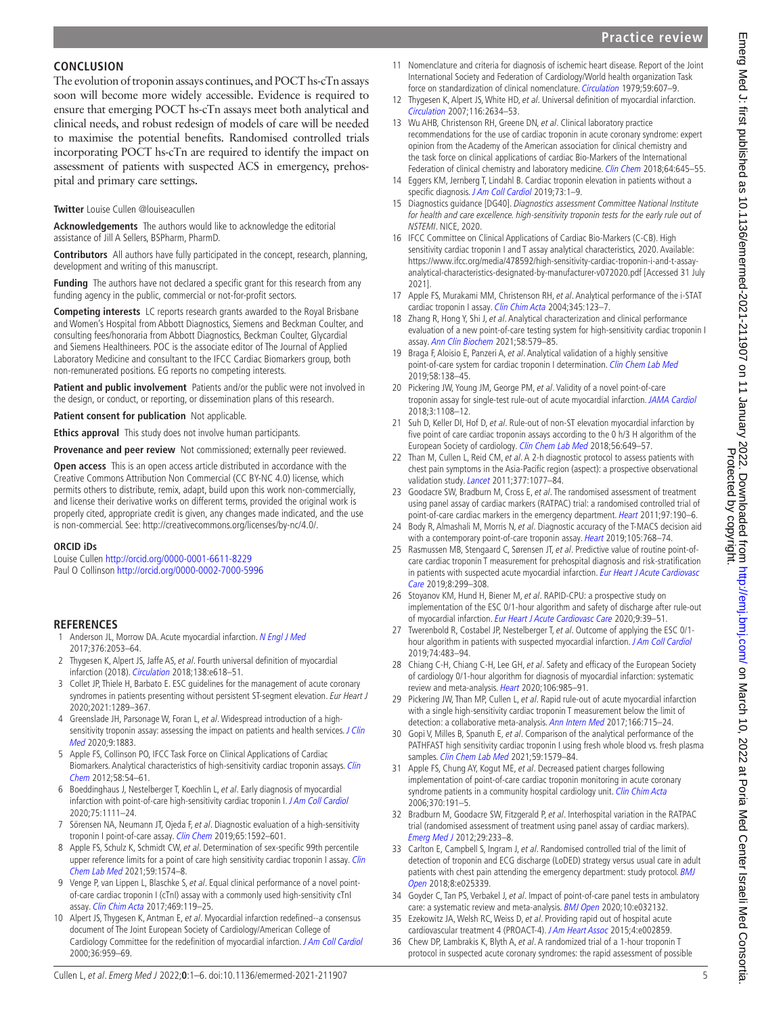# **Practice review**

## **CONCLUSION**

The evolution of troponin assays continues, and POCT hs-cTn assays soon will become more widely accessible. Evidence is required to ensure that emerging POCT hs-cTn assays meet both analytical and clinical needs, and robust redesign of models of care will be needed to maximise the potential benefits. Randomised controlled trials incorporating POCT hs-cTn are required to identify the impact on assessment of patients with suspected ACS in emergency, prehospital and primary care settings.

#### **Twitter** Louise Cullen [@louiseacullen](https://twitter.com/louiseacullen)

**Acknowledgements** The authors would like to acknowledge the editorial assistance of Jill A Sellers, BSPharm, PharmD.

**Contributors** All authors have fully participated in the concept, research, planning, development and writing of this manuscript.

**Funding** The authors have not declared a specific grant for this research from any funding agency in the public, commercial or not-for-profit sectors.

**Competing interests** LC reports research grants awarded to the Royal Brisbane and Women's Hospital from Abbott Diagnostics, Siemens and Beckman Coulter, and consulting fees/honoraria from Abbott Diagnostics, Beckman Coulter, Glycardial and Siemens Healthineers. POC is the associate editor of The Journal of Applied Laboratory Medicine and consultant to the IFCC Cardiac Biomarkers group, both non-remunerated positions. EG reports no competing interests.

Patient and public involvement Patients and/or the public were not involved in the design, or conduct, or reporting, or dissemination plans of this research.

**Patient consent for publication** Not applicable.

**Ethics approval** This study does not involve human participants.

**Provenance and peer review** Not commissioned; externally peer reviewed.

**Open access** This is an open access article distributed in accordance with the Creative Commons Attribution Non Commercial (CC BY-NC 4.0) license, which permits others to distribute, remix, adapt, build upon this work non-commercially, and license their derivative works on different terms, provided the original work is properly cited, appropriate credit is given, any changes made indicated, and the use is non-commercial. See: <http://creativecommons.org/licenses/by-nc/4.0/>.

#### **ORCID iDs**

Louise Cullen <http://orcid.org/0000-0001-6611-8229> Paul O Collinson <http://orcid.org/0000-0002-7000-5996>

## **REFERENCES**

- <span id="page-4-0"></span>1 Anderson JL, Morrow DA. Acute myocardial infarction. [N Engl J Med](http://dx.doi.org/10.1056/NEJMra1606915) 2017;376:2053–64.
- <span id="page-4-1"></span>2 Thygesen K, Alpert JS, Jaffe AS, et al. Fourth universal definition of myocardial infarction (2018). [Circulation](http://dx.doi.org/10.1161/CIR.0000000000000617) 2018;138:e618–51.
- <span id="page-4-2"></span>3 Collet JP, Thiele H, Barbato E. ESC guidelines for the management of acute coronary syndromes in patients presenting without persistent ST-segment elevation. Eur Heart J 2020;2021:1289–367.
- <span id="page-4-3"></span>4 Greenslade JH, Parsonage W, Foran L, et al. Widespread introduction of a highsensitivity troponin assay: assessing the impact on patients and health services. J Clin [Med](http://dx.doi.org/10.3390/jcm9061883) 2020;9:1883.
- <span id="page-4-4"></span>5 Apple FS, Collinson PO, IFCC Task Force on Clinical Applications of Cardiac Biomarkers. Analytical characteristics of high-sensitivity cardiac troponin assays. Clin [Chem](http://dx.doi.org/10.1373/clinchem.2011.165795) 2012;58:54–61.
- <span id="page-4-5"></span>6 Boeddinghaus J, Nestelberger T, Koechlin L, et al. Early diagnosis of myocardial infarction with point-of-care high-sensitivity cardiac troponin I. [J Am Coll Cardiol](http://dx.doi.org/10.1016/j.jacc.2019.12.065) 2020;75:1111–24.
- <span id="page-4-27"></span>7 Sörensen NA, Neumann JT, Ojeda F, et al. Diagnostic evaluation of a high-sensitivity troponin I point-of-care assay. [Clin Chem](http://dx.doi.org/10.1373/clinchem.2019.307405) 2019;65:1592-601.
- <span id="page-4-17"></span>8 Apple FS, Schulz K, Schmidt CW, et al. Determination of sex-specific 99th percentile upper reference limits for a point of care high sensitivity cardiac troponin I assay. Clin [Chem Lab Med](http://dx.doi.org/10.1515/cclm-2021-0262) 2021;59:1574–8.
- <span id="page-4-12"></span>9 Venge P, van Lippen L, Blaschke S, et al. Equal clinical performance of a novel pointof-care cardiac troponin I (cTnI) assay with a commonly used high-sensitivity cTnI assay. [Clin Chim Acta](http://dx.doi.org/10.1016/j.cca.2017.03.023) 2017;469:119–25.
- <span id="page-4-6"></span>10 Alpert JS, Thygesen K, Antman E, et al. Myocardial infarction redefined--a consensus document of The Joint European Society of Cardiology/American College of Cardiology Committee for the redefinition of myocardial infarction. [J Am Coll Cardiol](http://dx.doi.org/10.1016/s0735-1097(00)00804-4) 2000;36:959–69.
- 11 Nomenclature and criteria for diagnosis of ischemic heart disease. Report of the Joint International Society and Federation of Cardiology/World health organization Task force on standardization of clinical nomenclature. [Circulation](http://dx.doi.org/10.1161/01.CIR.59.3.607) 1979;59:607–9.
- 12 Thygesen K, Alpert JS, White HD, et al. Universal definition of myocardial infarction. [Circulation](http://dx.doi.org/10.1161/CIRCULATIONAHA.107.187397) 2007;116:2634–53.
- <span id="page-4-7"></span>13 Wu AHB, Christenson RH, Greene DN, et al. Clinical laboratory practice recommendations for the use of cardiac troponin in acute coronary syndrome: expert opinion from the Academy of the American association for clinical chemistry and the task force on clinical applications of cardiac Bio-Markers of the International Federation of clinical chemistry and laboratory medicine. [Clin Chem](http://dx.doi.org/10.1373/clinchem.2017.277186) 2018;64:645-55.
- <span id="page-4-8"></span>14 Eggers KM, Jernberg T, Lindahl B. Cardiac troponin elevation in patients without a specific diagnosis. [J Am Coll Cardiol](http://dx.doi.org/10.1016/j.jacc.2018.09.082) 2019;73:1-9.
- <span id="page-4-9"></span>15 Diagnostics guidance [DG40]. Diagnostics assessment Committee National Institute for health and care excellence. high-sensitivity troponin tests for the early rule out of NSTEMI. NICE, 2020.
- <span id="page-4-10"></span>16 IFCC Committee on Clinical Applications of Cardiac Bio-Markers (C-CB). High sensitivity cardiac troponin I and T assay analytical characteristics, 2020. Available: [https://www.ifcc.org/media/478592/high-sensitivity-cardiac-troponin-i-and-t-assay](https://www.ifcc.org/media/478592/high-sensitivity-cardiac-troponin-i-and-t-assay-analytical-characteristics-designated-by-manufacturer-v072020.pdf)[analytical-characteristics-designated-by-manufacturer-v072020.pdf](https://www.ifcc.org/media/478592/high-sensitivity-cardiac-troponin-i-and-t-assay-analytical-characteristics-designated-by-manufacturer-v072020.pdf) [Accessed 31 July 2021].
- 17 Apple FS, Murakami MM, Christenson RH, et al. Analytical performance of the i-STAT cardiac troponin I assay. [Clin Chim Acta](http://dx.doi.org/10.1016/j.cccn.2004.03.010) 2004;345:123–7.
- <span id="page-4-11"></span>18 Zhang R, Hong Y, Shi J, et al. Analytical characterization and clinical performance evaluation of a new point-of-care testing system for high-sensitivity cardiac troponin I assay. [Ann Clin Biochem](http://dx.doi.org/10.1177/00045632211027604) 2021;58:579–85.
- 19 Braga F, Aloisio E, Panzeri A, et al. Analytical validation of a highly sensitive point-of-care system for cardiac troponin I determination. [Clin Chem Lab Med](http://dx.doi.org/10.1515/cclm-2019-0801) 2019;58:138–45.
- <span id="page-4-28"></span>20 Pickering JW, Young JM, George PM, et al. Validity of a novel point-of-care troponin assay for single-test rule-out of acute myocardial infarction. [JAMA Cardiol](http://dx.doi.org/10.1001/jamacardio.2018.3368) 2018;3:1108–12.
- <span id="page-4-13"></span>21 Suh D, Keller DI, Hof D, et al. Rule-out of non-ST elevation myocardial infarction by five point of care cardiac troponin assays according to the 0 h/3 H algorithm of the European Society of cardiology. [Clin Chem Lab Med](http://dx.doi.org/10.1515/cclm-2017-0486) 2018;56:649–57.
- <span id="page-4-14"></span>22 Than M, Cullen L, Reid CM, et al. A 2-h diagnostic protocol to assess patients with chest pain symptoms in the Asia-Pacific region (aspect): a prospective observational validation study. [Lancet](http://dx.doi.org/10.1016/S0140-6736(11)60310-3) 2011;377:1077-84.
- 23 Goodacre SW, Bradburn M, Cross E, et al. The randomised assessment of treatment using panel assay of cardiac markers (RATPAC) trial: a randomised controlled trial of point-of-care cardiac markers in the emergency department. [Heart](http://dx.doi.org/10.1136/hrt.2010.203166) 2011;97:190-6.
- <span id="page-4-15"></span>24 Body R, Almashali M, Morris N, et al. Diagnostic accuracy of the T-MACS decision aid with a contemporary point-of-care troponin assay. [Heart](http://dx.doi.org/10.1136/heartjnl-2018-313825) 2019;105:768-74.
- <span id="page-4-16"></span>25 Rasmussen MB, Stengaard C, Sørensen JT, et al. Predictive value of routine point-ofcare cardiac troponin T measurement for prehospital diagnosis and risk-stratification in patients with suspected acute myocardial infarction. Eur Heart J Acute Cardiovasc [Care](http://dx.doi.org/10.1177/2048872617745893) 2019;8:299–308.
- <span id="page-4-18"></span>26 Stoyanov KM, Hund H, Biener M, et al. RAPID-CPU: a prospective study on implementation of the ESC 0/1-hour algorithm and safety of discharge after rule-out of myocardial infarction. [Eur Heart J Acute Cardiovasc Care](http://dx.doi.org/10.1177/2048872619861911) 2020;9:39-51.
- 27 Twerenbold R, Costabel JP, Nestelberger T, et al. Outcome of applying the ESC 0/1-hour algorithm in patients with suspected myocardial infarction. [J Am Coll Cardiol](http://dx.doi.org/10.1016/j.jacc.2019.05.046) 2019;74:483–94.
- <span id="page-4-19"></span>28 Chiang C-H, Chiang C-H, Lee GH, et al. Safety and efficacy of the European Society of cardiology 0/1-hour algorithm for diagnosis of myocardial infarction: systematic review and meta-analysis. [Heart](http://dx.doi.org/10.1136/heartjnl-2019-316343) 2020;106:985-91.
- <span id="page-4-20"></span>29 Pickering JW, Than MP, Cullen L, et al. Rapid rule-out of acute myocardial infarction with a single high-sensitivity cardiac troponin T measurement below the limit of detection: a collaborative meta-analysis. [Ann Intern Med](http://dx.doi.org/10.7326/M16-2562) 2017;166:715-24.
- <span id="page-4-21"></span>30 Gopi V, Milles B, Spanuth E, et al. Comparison of the analytical performance of the PATHFAST high sensitivity cardiac troponin I using fresh whole blood vs. fresh plasma samples. [Clin Chem Lab Med](http://dx.doi.org/10.1515/cclm-2021-0354) 2021;59:1579-84.
- <span id="page-4-22"></span>31 Apple FS, Chung AY, Kogut ME, et al. Decreased patient charges following implementation of point-of-care cardiac troponin monitoring in acute coronary syndrome patients in a community hospital cardiology unit. [Clin Chim Acta](http://dx.doi.org/10.1016/j.cca.2006.02.011) 2006;370:191–5.
- <span id="page-4-26"></span>32 Bradburn M, Goodacre SW, Fitzgerald P, et al. Interhospital variation in the RATPAC trial (randomised assessment of treatment using panel assay of cardiac markers). [Emerg Med J](http://dx.doi.org/10.1136/emj.2010.108522) 2012;29:233–8.
- 33 Carlton E, Campbell S, Ingram J, et al. Randomised controlled trial of the limit of detection of troponin and ECG discharge (LoDED) strategy versus usual care in adult patients with chest pain attending the emergency department: study protocol. BMJ [Open](http://dx.doi.org/10.1136/bmjopen-2018-025339) 2018;8:e025339.
- <span id="page-4-23"></span>34 Goyder C, Tan PS, Verbakel J, et al. Impact of point-of-care panel tests in ambulatory care: a systematic review and meta-analysis. [BMJ Open](http://dx.doi.org/10.1136/bmjopen-2019-032132) 2020;10:e032132.
- <span id="page-4-24"></span>35 Ezekowitz JA, Welsh RC, Weiss D, et al. Providing rapid out of hospital acute cardiovascular treatment 4 (PROACT-4). [J Am Heart Assoc](http://dx.doi.org/10.1161/JAHA.115.002859) 2015;4:e002859.
- <span id="page-4-25"></span>36 Chew DP, Lambrakis K, Blyth A, et al. A randomized trial of a 1-hour troponin T protocol in suspected acute coronary syndromes: the rapid assessment of possible